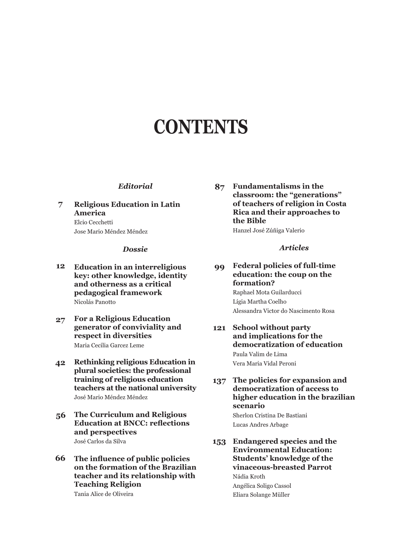# **CONTENTS**

#### *Editorial*

**7 Religious Education in Latin America** Elcio Cecchetti Jose Mario Méndez Méndez

#### *Dossie*

- **12 Education in an interreligious key: other knowledge, identity and otherness as a critical pedagogical framework**  Nicolás Panotto
- **27 For a Religious Education generator of conviviality and respect in diversities** Maria Cecilia Garcez Leme
- **42 Rethinking religious Education in plural societies: the professional training of religious education teachers at the national university** José Mario Méndez Méndez
- **56 The Curriculum and Religious Education at BNCC: reflections and perspectives** José Carlos da Silva
- **66 The influence of public policies on the formation of the Brazilian teacher and its relationship with Teaching Religion** Tania Alice de Oliveira

**87 Fundamentalisms in the classroom: the "generations" of teachers of religion in Costa Rica and their approaches to the Bible**

Hanzel José Zúñiga Valerio

#### *Articles*

**99 Federal policies of full-time education: the coup on the formation?**

> Raphael Mota Guilarducci Lígia Martha Coelho Alessandra Victor do Nascimento Rosa

**121 School without party and implications for the democratization of education** Paula Valim de Lima Vera Maria Vidal Peroni

**137 The policies for expansion and democratization of access to higher education in the brazilian scenario**

Sherlon Cristina De Bastiani Lucas Andres Arbage

**153 Endangered species and the Environmental Education: Students' knowledge of the vinaceous-breasted Parrot** Nádia Kroth Angélica Soligo Cassol Eliara Solange Müller